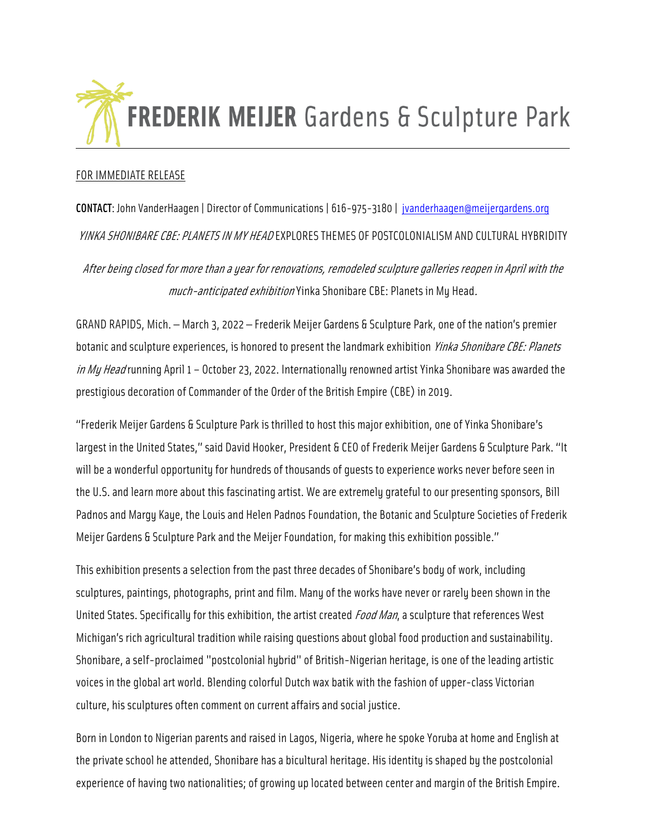

# FOR IMMEDIATE RELEASE

CONTACT: John VanderHaagen | Director of Communications | 616-975-3180 | [jvanderhaagen@meijergardens.org](mailto:jvanderhaagen@meijergardens.org) YINKA SHONIBARE CBE: PLANETS IN MY HEAD EXPLORES THEMES OF POSTCOLONIALISM AND CULTURAL HYBRIDITY After being closed for more than a year for renovations, remodeled sculpture galleries reopen in April with the

much-anticipated exhibition Yinka Shonibare CBE: Planets in My Head.

GRAND RAPIDS, Mich. — March 3, 2022 — Frederik Meijer Gardens & Sculpture Park, one of the nation's premier botanic and sculpture experiences, is honored to present the landmark exhibition *Yinka Shonibare CBE: Planets* in My Head running April 1 - October 23, 2022. Internationally renowned artist Yinka Shonibare was awarded the prestigious decoration of Commander of the Order of the British Empire (CBE) in 2019.

"Frederik Meijer Gardens & Sculpture Park is thrilled to host this major exhibition, one of Yinka Shonibare's largest in the United States," said David Hooker, President & CEO of Frederik Meijer Gardens & Sculpture Park. "It will be a wonderful opportunity for hundreds of thousands of guests to experience works never before seen in the U.S. and learn more about this fascinating artist. We are extremely grateful to our presenting sponsors, Bill Padnos and Margy Kaye, the Louis and Helen Padnos Foundation, the Botanic and Sculpture Societies of Frederik Meijer Gardens & Sculpture Park and the Meijer Foundation, for making this exhibition possible."

This exhibition presents a selection from the past three decades of Shonibare's body of work, including sculptures, paintings, photographs, print and film. Many of the works have never or rarely been shown in the United States. Specifically for this exhibition, the artist created *Food Man*, a sculpture that references West Michigan's rich agricultural tradition while raising questions about global food production and sustainability. Shonibare, a self-proclaimed "postcolonial hybrid" of British-Nigerian heritage, is one of the leading artistic voices in the global art world. Blending colorful Dutch wax batik with the fashion of upper-class Victorian culture, his sculptures often comment on current affairs and social justice.

Born in London to Nigerian parents and raised in Lagos, Nigeria, where he spoke Yoruba at home and English at the private school he attended, Shonibare has a bicultural heritage. His identity is shaped by the postcolonial experience of having two nationalities; of growing up located between center and margin of the British Empire.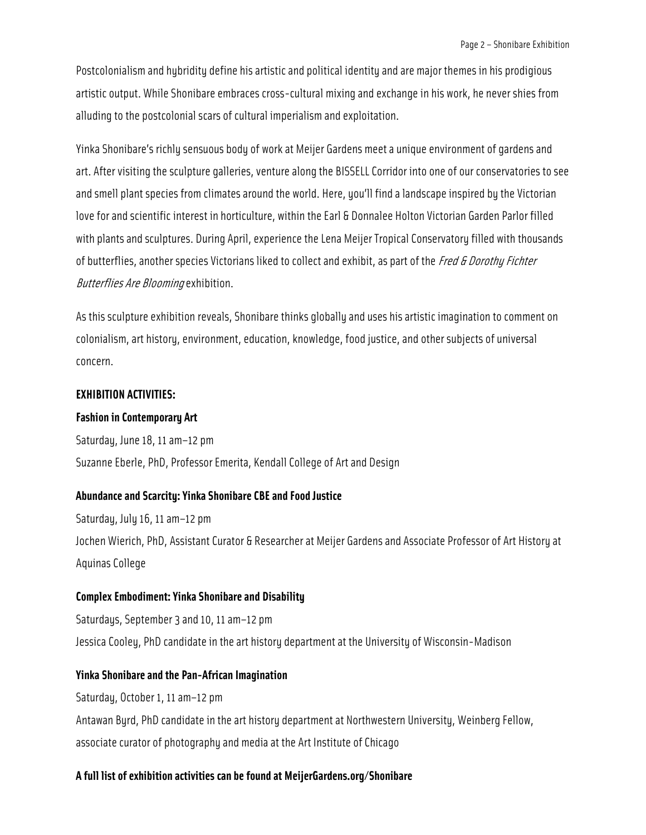Postcolonialism and hybridity define his artistic and political identity and are major themes in his prodigious artistic output. While Shonibare embraces cross-cultural mixing and exchange in his work, he never shies from alluding to the postcolonial scars of cultural imperialism and exploitation.

Yinka Shonibare's richly sensuous body of work at Meijer Gardens meet a unique environment of gardens and art. After visiting the sculpture galleries, venture along the BISSELL Corridor into one of our conservatories to see and smell plant species from climates around the world. Here, you'll find a landscape inspired by the Victorian love for and scientific interest in horticulture, within the Earl & Donnalee Holton Victorian Garden Parlor filled with plants and sculptures. During April, experience the Lena Meijer Tropical Conservatory filled with thousands of butterflies, another species Victorians liked to collect and exhibit, as part of the *Fred & Dorothy Fichter* Butterflies Are Blooming exhibition.

As this sculpture exhibition reveals, Shonibare thinks globally and uses his artistic imagination to comment on colonialism, art history, environment, education, knowledge, food justice, and other subjects of universal concern.

### **EXHIBITION ACTIVITIES:**

#### **Fashion in Contemporary Art**

Saturday, June 18, 11 am–12 pm Suzanne Eberle, PhD, Professor Emerita, Kendall College of Art and Design

# **Abundance and Scarcity: Yinka Shonibare CBE and Food Justice**

Saturday, July 16, 11 am–12 pm Jochen Wierich, PhD, Assistant Curator & Researcher at Meijer Gardens and Associate Professor of Art History at Aquinas College

### **Complex Embodiment: Yinka Shonibare and Disability**

Saturdays, September 3 and 10, 11 am–12 pm Jessica Cooley, PhD candidate in the art history department at the University of Wisconsin-Madison

### **Yinka Shonibare and the Pan-African Imagination**

Saturday, October 1, 11 am–12 pm Antawan Byrd, PhD candidate in the art history department at Northwestern University, Weinberg Fellow, associate curator of photography and media at the Art Institute of Chicago

#### **A full list of exhibition activities can be found at MeijerGardens.org/Shonibare**